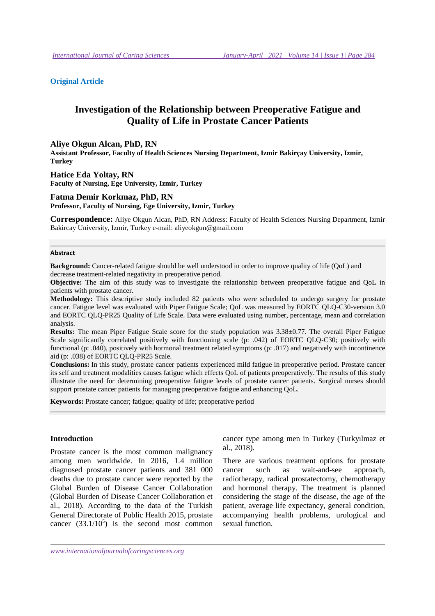## **Original Article**

# **Investigation of the Relationship between Preoperative Fatigue and Quality of Life in Prostate Cancer Patients**

#### **Aliye Okgun Alcan, PhD, RN**

**Assistant Professor, Faculty of Health Sciences Nursing Department, Izmir Bakirçay University, Izmir, Turkey** 

**Hatice Eda Yoltay, RN Faculty of Nursing, Ege University, Izmir, Turkey** 

## **Fatma Demir Korkmaz, PhD, RN**

**Professor, Faculty of Nursing, Ege University, Izmir, Turkey** 

**Correspondence:** Aliye Okgun Alcan, PhD, RN Address: Faculty of Health Sciences Nursing Department, Izmir Bakircay University, Izmir, Turkey e-mail: aliyeokgun@gmail.com

#### **Abstract**

**Background:** Cancer-related fatigue should be well understood in order to improve quality of life (QoL) and decrease treatment-related negativity in preoperative period.

**Objective:** The aim of this study was to investigate the relationship between preoperative fatigue and QoL in patients with prostate cancer.

**Methodology:** This descriptive study included 82 patients who were scheduled to undergo surgery for prostate cancer. Fatigue level was evaluated with Piper Fatigue Scale; QoL was measured by EORTC QLQ-C30-version 3.0 and EORTC QLQ-PR25 Quality of Life Scale. Data were evaluated using number, percentage, mean and correlation analysis.

**Results:** The mean Piper Fatigue Scale score for the study population was 3.38±0.77. The overall Piper Fatigue Scale significantly correlated positively with functioning scale (p: .042) of EORTC QLQ-C30; positively with functional (p: .040), positively with hormonal treatment related symptoms (p: .017) and negatively with incontinence aid (p: .038) of EORTC QLQ-PR25 Scale.

**Conclusions:** In this study, prostate cancer patients experienced mild fatigue in preoperative period. Prostate cancer its self and treatment modalities causes fatigue which effects QoL of patients preoperatively. The results of this study illustrate the need for determining preoperative fatigue levels of prostate cancer patients. Surgical nurses should support prostate cancer patients for managing preoperative fatigue and enhancing QoL.

**Keywords:** Prostate cancer; fatigue; quality of life; preoperative period

## **Introduction**

Prostate cancer is the most common malignancy among men worldwide. In 2016, 1.4 million diagnosed prostate cancer patients and 381 000 deaths due to prostate cancer were reported by the Global Burden of Disease Cancer Collaboration (Global Burden of Disease Cancer Collaboration et al., 2018). According to the data of the Turkish General Directorate of Public Health 2015, prostate cancer  $(33.1/10^5)$  is the second most common cancer type among men in Turkey (Turkyılmaz et al., 2018).

There are various treatment options for prostate cancer such as wait-and-see approach, radiotherapy, radical prostatectomy, chemotherapy and hormonal therapy. The treatment is planned considering the stage of the disease, the age of the patient, average life expectancy, general condition, accompanying health problems, urological and sexual function.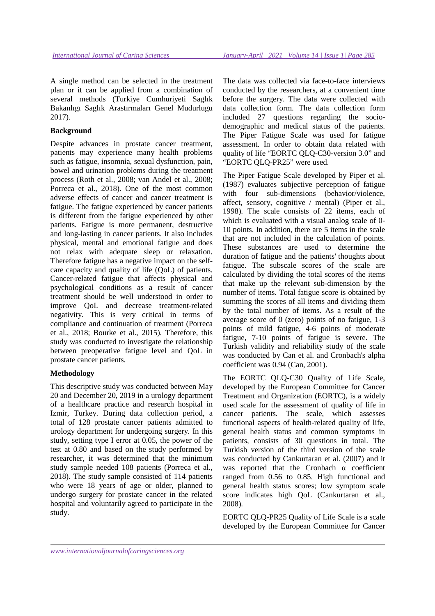A single method can be selected in the treatment plan or it can be applied from a combination of several methods (Turkiye Cumhuriyeti Saglık Bakanlıgı Saglık Arastırmaları Genel Mudurlugu 2017).

## **Background**

Despite advances in prostate cancer treatment, patients may experience many health problems such as fatigue, insomnia, sexual dysfunction, pain, bowel and urination problems during the treatment process (Roth et al., 2008; van Andel et al., 2008; Porreca et al., 2018). One of the most common adverse effects of cancer and cancer treatment is fatigue. The fatigue experienced by cancer patients is different from the fatigue experienced by other patients. Fatigue is more permanent, destructive and long-lasting in cancer patients. It also includes physical, mental and emotional fatigue and does not relax with adequate sleep or relaxation. Therefore fatigue has a negative impact on the selfcare capacity and quality of life (QoL) of patients. Cancer-related fatigue that affects physical and psychological conditions as a result of cancer treatment should be well understood in order to improve QoL and decrease treatment-related negativity. This is very critical in terms of compliance and continuation of treatment (Porreca et al., 2018; Bourke et al., 2015). Therefore, this study was conducted to investigate the relationship between preoperative fatigue level and QoL in prostate cancer patients.

## **Methodology**

This descriptive study was conducted between May 20 and December 20, 2019 in a urology department of a healthcare practice and research hospital in Izmir, Turkey. During data collection period, a total of 128 prostate cancer patients admitted to urology department for undergoing surgery. In this study, setting type I error at 0.05, the power of the test at 0.80 and based on the study performed by researcher, it was determined that the minimum study sample needed 108 patients (Porreca et al., 2018). The study sample consisted of 114 patients who were 18 years of age or older, planned to undergo surgery for prostate cancer in the related hospital and voluntarily agreed to participate in the study.

The data was collected via face-to-face interviews conducted by the researchers, at a convenient time before the surgery. The data were collected with data collection form. The data collection form included 27 questions regarding the sociodemographic and medical status of the patients. The Piper Fatigue Scale was used for fatigue assessment. In order to obtain data related with quality of life "EORTC QLQ-C30-version 3.0" and "EORTC QLQ-PR25" were used.

The Piper Fatigue Scale developed by Piper et al. (1987) evaluates subjective perception of fatigue with four sub-dimensions (behavior/violence, affect, sensory, cognitive / mental) (Piper et al., 1998). The scale consists of 22 items, each of which is evaluated with a visual analog scale of 0- 10 points. In addition, there are 5 items in the scale that are not included in the calculation of points. These substances are used to determine the duration of fatigue and the patients' thoughts about fatigue. The subscale scores of the scale are calculated by dividing the total scores of the items that make up the relevant sub-dimension by the number of items. Total fatigue score is obtained by summing the scores of all items and dividing them by the total number of items. As a result of the average score of 0 (zero) points of no fatigue, 1-3 points of mild fatigue, 4-6 points of moderate fatigue, 7-10 points of fatigue is severe. The Turkish validity and reliability study of the scale was conducted by Can et al. and Cronbach's alpha coefficient was 0.94 (Can, 2001).

The EORTC QLQ-C30 Quality of Life Scale, developed by the European Committee for Cancer Treatment and Organization (EORTC), is a widely used scale for the assessment of quality of life in cancer patients. The scale, which assesses functional aspects of health-related quality of life, general health status and common symptoms in patients, consists of 30 questions in total. The Turkish version of the third version of the scale was conducted by Cankurtaran et al. (2007) and it was reported that the Cronbach α coefficient ranged from 0.56 to 0.85. High functional and general health status scores; low symptom scale score indicates high QoL (Cankurtaran et al., 2008).

EORTC QLQ-PR25 Quality of Life Scale is a scale developed by the European Committee for Cancer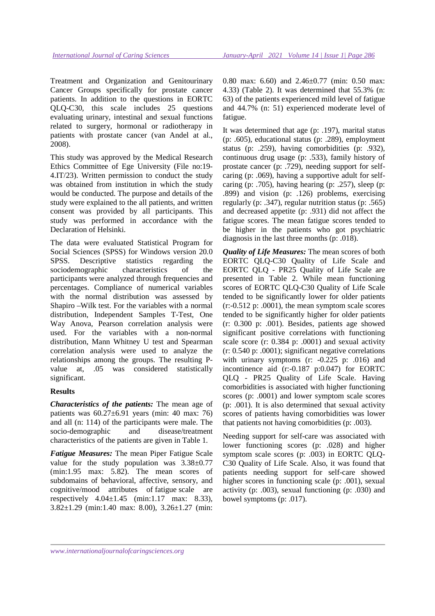Treatment and Organization and Genitourinary Cancer Groups specifically for prostate cancer patients. In addition to the questions in EORTC QLQ-C30, this scale includes 25 questions evaluating urinary, intestinal and sexual functions related to surgery, hormonal or radiotherapy in patients with prostate cancer (van Andel at al., 2008).

This study was approved by the Medical Research Ethics Committee of Ege University (File no:19- 4.IT/23). Written permission to conduct the study was obtained from institution in which the study would be conducted. The purpose and details of the study were explained to the all patients, and written consent was provided by all participants. This study was performed in accordance with the Declaration of Helsinki.

The data were evaluated Statistical Program for Social Sciences (SPSS) for Windows version 20.0 SPSS. Descriptive statistics regarding the sociodemographic characteristics of the participants were analyzed through frequencies and percentages. Compliance of numerical variables with the normal distribution was assessed by Shapiro –Wilk test. For the variables with a normal distribution, Independent Samples T-Test, One Way Anova, Pearson correlation analysis were used. For the variables with a non-normal distribution, Mann Whitney U test and Spearman correlation analysis were used to analyze the relationships among the groups. The resulting Pvalue at, .05 was considered statistically significant.

## **Results**

*Characteristics of the patients:* The mean age of patients was 60.27±6.91 years (min: 40 max: 76) and all (n: 114) of the participants were male. The socio-demographic and disease/treatment characteristics of the patients are given in Table 1.

*Fatigue Measures:* The mean Piper Fatigue Scale value for the study population was 3.38±0.77 (min:1.95 max: 5.82). The mean scores of subdomains of behavioral, affective, sensory, and cognitive/mood attributes of fatigue scale are respectively  $4.04 \pm 1.45$  (min:1.17 max: 8.33), 3.82±1.29 (min:1.40 max: 8.00), 3.26±1.27 (min:

0.80 max: 6.60) and 2.46±0.77 (min: 0.50 max: 4.33) (Table 2). It was determined that 55.3% (n: 63) of the patients experienced mild level of fatigue and 44.7% (n: 51) experienced moderate level of fatigue.

It was determined that age (p: .197), marital status (p: .605), educational status (p: .289), employment status (p: .259), having comorbidities (p: .932), continuous drug usage (p: .533), family history of prostate cancer (p: .729), needing support for selfcaring (p: .069), having a supportive adult for selfcaring (p: .705), having hearing (p: .257), sleep (p: .899) and vision (p: .126) problems, exercising regularly (p: .347), regular nutrition status (p: .565) and decreased appetite (p: .931) did not affect the fatigue scores. The mean fatigue scores tended to be higher in the patients who got psychiatric diagnosis in the last three months (p: .018).

*Quality of Life Measures:* The mean scores of both EORTC QLQ-C30 Quality of Life Scale and EORTC QLQ - PR25 Quality of Life Scale are presented in Table 2. While mean functioning scores of EORTC QLQ-C30 Quality of Life Scale tended to be significantly lower for older patients (r:-0.512 p: .0001), the mean symptom scale scores tended to be significantly higher for older patients (r: 0.300 p: .001). Besides, patients age showed significant positive correlations with functioning scale score (r: 0.384 p: .0001) and sexual activity (r: 0.540 p: .0001); significant negative correlations with urinary symptoms (r: -0.225 p: .016) and incontinence aid (r:-0.187 p:0.047) for EORTC QLQ - PR25 Quality of Life Scale. Having comorbidities is associated with higher functioning scores (p: .0001) and lower symptom scale scores (p: .001). It is also determined that sexual activity scores of patients having comorbidities was lower that patients not having comorbidities (p: .003).

Needing support for self-care was associated with lower functioning scores (p: .028) and higher symptom scale scores (p: .003) in EORTC QLQ-C30 Quality of Life Scale. Also, it was found that patients needing support for self-care showed higher scores in functioning scale (p: .001), sexual activity (p: .003), sexual functioning (p: .030) and bowel symptoms (p: .017).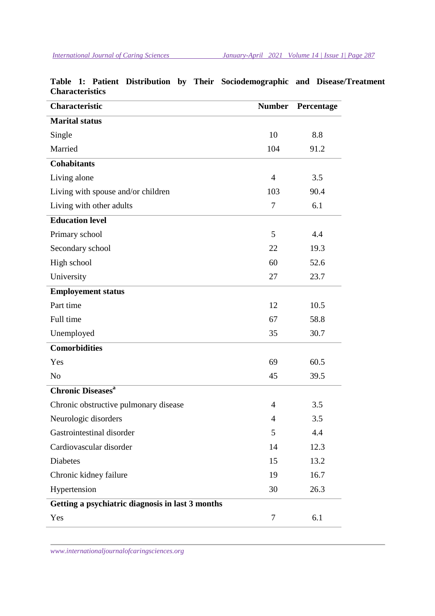| <b>Characteristic</b>                            | <b>Number</b>  | Percentage |
|--------------------------------------------------|----------------|------------|
| <b>Marital status</b>                            |                |            |
| Single                                           | 10             | 8.8        |
| Married                                          | 104            | 91.2       |
| <b>Cohabitants</b>                               |                |            |
| Living alone                                     | $\overline{4}$ | 3.5        |
| Living with spouse and/or children               | 103            | 90.4       |
| Living with other adults                         | 7              | 6.1        |
| <b>Education level</b>                           |                |            |
| Primary school                                   | 5              | 4.4        |
| Secondary school                                 | 22             | 19.3       |
| High school                                      | 60             | 52.6       |
| University                                       | 27             | 23.7       |
| <b>Employement status</b>                        |                |            |
| Part time                                        | 12             | 10.5       |
| Full time                                        | 67             | 58.8       |
| Unemployed                                       | 35             | 30.7       |
| <b>Comorbidities</b>                             |                |            |
| Yes                                              | 69             | 60.5       |
| N <sub>0</sub>                                   | 45             | 39.5       |
| <b>Chronic Diseases<sup>a</sup></b>              |                |            |
| Chronic obstructive pulmonary disease            | 4              | 3.5        |
| Neurologic disorders                             | 4              | 3.5        |
| Gastrointestinal disorder                        | 5              | 4.4        |
| Cardiovascular disorder                          | 14             | 12.3       |
| <b>Diabetes</b>                                  | 15             | 13.2       |
| Chronic kidney failure                           | 19             | 16.7       |
| Hypertension                                     | 30             | 26.3       |
| Getting a psychiatric diagnosis in last 3 months |                |            |
| Yes                                              | 7              | 6.1        |

# **Table 1: Patient Distribution by Their Sociodemographic and Disease/Treatment Characteristics**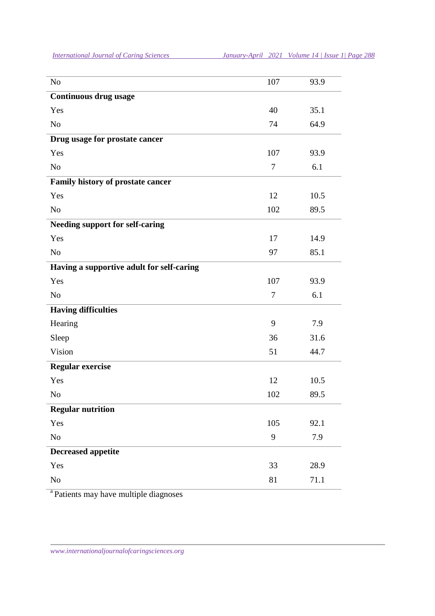| <b>International Journal of Caring Sciences</b> | January-April 2021 Volume 14   Issue 1   Page 288 |  |  |
|-------------------------------------------------|---------------------------------------------------|--|--|
|                                                 |                                                   |  |  |

| N <sub>o</sub>                            | 107            | 93.9 |
|-------------------------------------------|----------------|------|
| <b>Continuous drug usage</b>              |                |      |
| Yes                                       | 40             | 35.1 |
| N <sub>0</sub>                            | 74             | 64.9 |
| Drug usage for prostate cancer            |                |      |
| Yes                                       | 107            | 93.9 |
| N <sub>o</sub>                            | $\tau$         | 6.1  |
| Family history of prostate cancer         |                |      |
| Yes                                       | 12             | 10.5 |
| N <sub>o</sub>                            | 102            | 89.5 |
| <b>Needing support for self-caring</b>    |                |      |
| Yes                                       | 17             | 14.9 |
| N <sub>o</sub>                            | 97             | 85.1 |
| Having a supportive adult for self-caring |                |      |
| Yes                                       | 107            | 93.9 |
| N <sub>o</sub>                            | $\overline{7}$ | 6.1  |
| <b>Having difficulties</b>                |                |      |
| Hearing                                   | 9              | 7.9  |
| Sleep                                     | 36             | 31.6 |
| Vision                                    | 51             | 44.7 |
| Regular exercise                          |                |      |
| Yes                                       | 12             | 10.5 |
| N <sub>o</sub>                            | 102            | 89.5 |
| <b>Regular nutrition</b>                  |                |      |
| Yes                                       | 105            | 92.1 |
| No                                        | 9              | 7.9  |
| <b>Decreased appetite</b>                 |                |      |
| Yes                                       | 33             | 28.9 |
| No                                        | 81             | 71.1 |
|                                           |                |      |

<sup>a</sup> Patients may have multiple diagnoses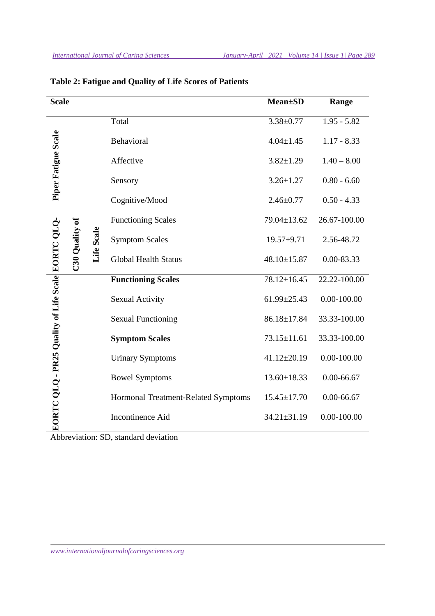| <b>Scale</b>                                      |                |            |                                     | <b>Mean±SD</b>    | Range           |
|---------------------------------------------------|----------------|------------|-------------------------------------|-------------------|-----------------|
|                                                   |                |            | Total                               | $3.38 \pm 0.77$   | $1.95 - 5.82$   |
| Piper Fatigue Scale                               |                |            | Behavioral                          | $4.04 \pm 1.45$   | $1.17 - 8.33$   |
|                                                   |                |            | Affective                           | $3.82 \pm 1.29$   | $1.40 - 8.00$   |
|                                                   |                |            | Sensory                             | $3.26 \pm 1.27$   | $0.80 - 6.60$   |
|                                                   |                |            | Cognitive/Mood                      | $2.46 \pm 0.77$   | $0.50 - 4.33$   |
|                                                   |                |            | <b>Functioning Scales</b>           | 79.04±13.62       | 26.67-100.00    |
|                                                   |                | Life Scale | <b>Symptom Scales</b>               | $19.57 + 9.71$    | 2.56-48.72      |
|                                                   | C30 Quality of |            | <b>Global Health Status</b>         | 48.10±15.87       | 0.00-83.33      |
|                                                   |                |            | <b>Functioning Scales</b>           | 78.12±16.45       | 22.22-100.00    |
|                                                   |                |            | <b>Sexual Activity</b>              | $61.99 \pm 25.43$ | $0.00 - 100.00$ |
|                                                   |                |            | <b>Sexual Functioning</b>           | 86.18±17.84       | 33.33-100.00    |
|                                                   |                |            | <b>Symptom Scales</b>               | $73.15 \pm 11.61$ | 33.33-100.00    |
|                                                   |                |            | <b>Urinary Symptoms</b>             | $41.12 \pm 20.19$ | $0.00 - 100.00$ |
|                                                   |                |            | <b>Bowel Symptoms</b>               | $13.60 \pm 18.33$ | $0.00 - 66.67$  |
|                                                   |                |            | Hormonal Treatment-Related Symptoms | $15.45 \pm 17.70$ | $0.00 - 66.67$  |
| EORTC QLQ - PR25 Quality of Life Scale EORTC QLQ- |                |            | Incontinence Aid                    | 34.21±31.19       | $0.00 - 100.00$ |

# **Table 2: Fatigue and Quality of Life Scores of Patients**

Abbreviation: SD, standard deviation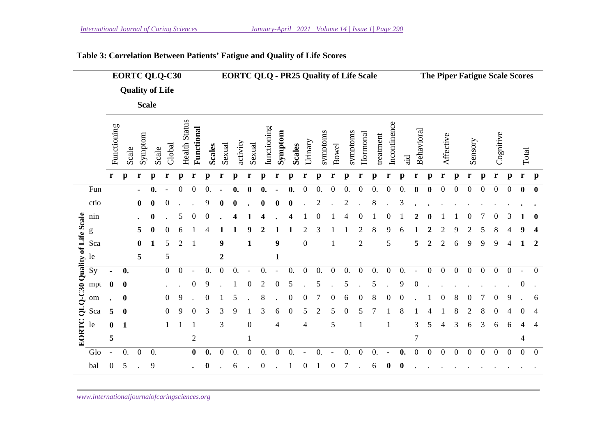|                               |      |                          |                  |                  | <b>EORTC QLQ-C30</b>   |                |                      |                  |                    |                  |              |                  |                  |                  | <b>EORTC QLQ - PR25 Quality of Life Scale</b> |                  |                |                  |                    |                  |              |                  |                    |                  |                  |                  |                  |                  |                  |                  | The Piper Fatigue Scale Scores |                          |                  |
|-------------------------------|------|--------------------------|------------------|------------------|------------------------|----------------|----------------------|------------------|--------------------|------------------|--------------|------------------|------------------|------------------|-----------------------------------------------|------------------|----------------|------------------|--------------------|------------------|--------------|------------------|--------------------|------------------|------------------|------------------|------------------|------------------|------------------|------------------|--------------------------------|--------------------------|------------------|
|                               |      |                          |                  |                  | <b>Quality of Life</b> |                |                      |                  |                    |                  |              |                  |                  |                  |                                               |                  |                |                  |                    |                  |              |                  |                    |                  |                  |                  |                  |                  |                  |                  |                                |                          |                  |
|                               |      |                          |                  | <b>Scale</b>     |                        |                |                      |                  |                    |                  |              |                  |                  |                  |                                               |                  |                |                  |                    |                  |              |                  |                    |                  |                  |                  |                  |                  |                  |                  |                                |                          |                  |
|                               |      | Functioning              | Scale            | Symptom          | Scale                  | Global         | <b>Health Status</b> | Functional       | <b>Scales</b>      | Sexual           | activity     | Sexual           | functioning      | Symptom          | <b>Scales</b>                                 | Urinary          | symptoms       | <b>Bowel</b>     | symptoms           | Hormonal         | treatment    | Incontinence     | .ਰੂ                | Behavioral       |                  | Affective        |                  | Sensory          |                  | Cognitive        |                                | Total                    |                  |
|                               |      | r                        | $\mathbf{p}$     | r                | $\mathbf{p}$           | r              | p                    | r                | p                  | r                | $\mathbf{p}$ | r                | $\mathbf{p}$     | r                | $\mathbf{p}$                                  | r                | $\mathbf{p}$   | r                | $\mathbf{p}$       | r                | $\mathbf{p}$ | r                | $\mathbf{p}$       | r                | $\mathbf{p}$     | r                | $\mathbf{p}$     | r                | $\mathbf{p}$     | r                | $\mathbf{p}$                   | r                        | $\mathbf{p}$     |
|                               | Fun  |                          |                  | $\blacksquare$   | $\boldsymbol{0}$ .     |                | 0                    | $\boldsymbol{0}$ | 0.                 |                  | 0.           | $\mathbf 0$      | 0.               |                  | 0.                                            | $\boldsymbol{0}$ | 0.             | $\boldsymbol{0}$ | $\boldsymbol{0}$ . | $\boldsymbol{0}$ | 0.           | $\boldsymbol{0}$ | 0.                 | $\bf{0}$         | $\boldsymbol{0}$ | $\overline{0}$   | $\boldsymbol{0}$ | $\boldsymbol{0}$ | $\boldsymbol{0}$ | $\boldsymbol{0}$ | $\boldsymbol{0}$               | $\bf{0}$                 | $\bf{0}$         |
|                               | ctio |                          |                  | $\bf{0}$         | 0                      |                |                      |                  | 9                  |                  |              |                  |                  |                  |                                               |                  |                |                  | 2                  |                  | 8            |                  | 3                  |                  |                  |                  |                  |                  |                  |                  |                                |                          |                  |
|                               | nin  |                          |                  |                  | $\bf{0}$               |                | 5                    | 0                | 0                  |                  | 4            |                  |                  |                  |                                               |                  |                |                  | 4                  | 0                |              | 0                |                    |                  |                  |                  |                  |                  |                  | 0                | 3                              |                          | $\bf{0}$         |
|                               | g    |                          |                  | 5                |                        |                |                      |                  |                    |                  |              |                  |                  |                  |                                               |                  |                |                  |                    | 2                | 8            | 9                | 6                  |                  |                  |                  | 9                |                  |                  | 8                |                                |                          | 4                |
|                               | Sca  |                          |                  | $\boldsymbol{0}$ |                        | 5              | 2                    |                  |                    | 9                |              | 1                |                  | $\boldsymbol{9}$ |                                               | $\boldsymbol{0}$ |                |                  |                    | $\sqrt{2}$       |              | 5                |                    | 5                | 2                | $\overline{c}$   | 6                | 9                | 9                | 9                | 4                              | 1                        | $\boldsymbol{2}$ |
| QLQ-C30 Quality of Life Scale | le   |                          |                  | 5                |                        | 5              |                      |                  |                    | $\boldsymbol{2}$ |              |                  |                  | $\mathbf{1}$     |                                               |                  |                |                  |                    |                  |              |                  |                    |                  |                  |                  |                  |                  |                  |                  |                                |                          |                  |
|                               | Sy   |                          | 0.               |                  |                        | $\mathbf{0}$   | $\boldsymbol{0}$     |                  | 0.                 | $\boldsymbol{0}$ | 0.           |                  | 0.               |                  | 0.                                            | $\boldsymbol{0}$ | 0.             | $\boldsymbol{0}$ | 0.                 | $\boldsymbol{0}$ | 0.           | $\boldsymbol{0}$ | $\mathbf{0}$ .     |                  | $\boldsymbol{0}$ | $\boldsymbol{0}$ | $\boldsymbol{0}$ | $\boldsymbol{0}$ | $\boldsymbol{0}$ | $\boldsymbol{0}$ | $\boldsymbol{0}$               |                          | $\mathbf{0}$     |
|                               | mpt  | $\bf{0}$                 | $\bf{0}$         |                  |                        |                |                      | $\theta$         | 9                  |                  |              |                  | 2                | $\Omega$         | 5                                             |                  |                |                  | 5                  |                  | 5            |                  | 9                  |                  |                  |                  |                  |                  |                  |                  |                                | $\overline{0}$           |                  |
|                               | om   |                          | 0                |                  |                        | $\overline{0}$ | 9                    |                  | 0                  |                  | 5            |                  | 8                |                  | $\boldsymbol{0}$                              | 0                | 7              | $\boldsymbol{0}$ | 6                  | 0                | 8            | $\overline{0}$   | $\boldsymbol{0}$   |                  |                  | 0                | 8                | $\theta$         | 7                | 0                | 9                              |                          | 6                |
|                               | Sca  | 5                        | $\boldsymbol{0}$ |                  |                        | $\overline{0}$ | 9                    | 0                | 3                  | 3                | 9            |                  | 3                | 6                | $\boldsymbol{0}$                              | 5                | $\mathfrak{2}$ | 5                | $\boldsymbol{0}$   | 5                |              |                  | 8                  |                  |                  |                  |                  |                  |                  |                  |                                |                          | 4                |
|                               | le   | 0                        | $\mathbf 1$      |                  |                        |                |                      |                  |                    | 3                |              | $\boldsymbol{0}$ |                  | 4                |                                               | $\overline{4}$   |                | 5                |                    |                  |              |                  |                    | 3                | 5                |                  | 3                | 6                | 3                | 6                | 6                              | 4                        | 4                |
| EORTC                         |      | 5                        |                  |                  |                        |                |                      | $\mathbf{2}$     |                    |                  |              | 1                |                  |                  |                                               |                  |                |                  |                    |                  |              |                  |                    | $\boldsymbol{7}$ |                  |                  |                  |                  |                  |                  |                                | $\overline{\mathcal{A}}$ |                  |
|                               | Glo  | $\overline{\phantom{a}}$ | 0.               | $\boldsymbol{0}$ | 0.                     |                |                      | $\boldsymbol{0}$ | $\boldsymbol{0}$ . | $\boldsymbol{0}$ | 0.           | $\mathbf{0}$     | 0.               | $\boldsymbol{0}$ | 0.                                            |                  | 0.             |                  | $\boldsymbol{0}$ . | $\boldsymbol{0}$ | 0.           |                  | $\boldsymbol{0}$ . | $\boldsymbol{0}$ | $\boldsymbol{0}$ | $\boldsymbol{0}$ | $\boldsymbol{0}$ | $\mathbf{0}$     | $\boldsymbol{0}$ | $\boldsymbol{0}$ | $\boldsymbol{0}$               | $\boldsymbol{0}$         | $\mathbf{0}$     |
|                               | bal  | $\boldsymbol{0}$         | 5                |                  | 9                      |                |                      |                  | $\boldsymbol{0}$   |                  | 6            |                  | $\boldsymbol{0}$ |                  |                                               | 0                |                | 0                | 7                  |                  | 6            | 0                | $\boldsymbol{0}$   |                  |                  |                  |                  |                  |                  |                  |                                |                          |                  |

# **Table 3: Correlation Between Patients' Fatigue and Quality of Life Scores**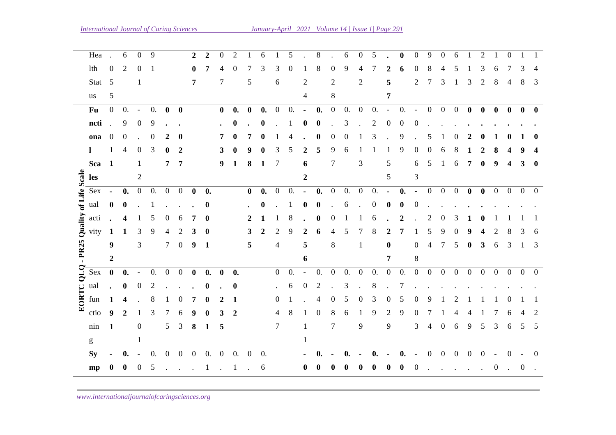|                       | Hea                                                                                                                                                                                                                                                                                                                                                                                                                            |                      | 6                  | $\theta$                 | 9                |                  |                  | 2                |                    | $\theta$         | 2              |                  | 6                |                  | 5                |                | 8                |                  | 6                  | $\Omega$         | 5                |                          | 0                  | $\overline{0}$           | 9                | $\theta$         | 6              |                  | 2              |                          | 0                |                  |                 |
|-----------------------|--------------------------------------------------------------------------------------------------------------------------------------------------------------------------------------------------------------------------------------------------------------------------------------------------------------------------------------------------------------------------------------------------------------------------------|----------------------|--------------------|--------------------------|------------------|------------------|------------------|------------------|--------------------|------------------|----------------|------------------|------------------|------------------|------------------|----------------|------------------|------------------|--------------------|------------------|------------------|--------------------------|--------------------|--------------------------|------------------|------------------|----------------|------------------|----------------|--------------------------|------------------|------------------|-----------------|
|                       | lth                                                                                                                                                                                                                                                                                                                                                                                                                            | $\boldsymbol{0}$     | 2                  | 0                        |                  |                  |                  | $\bf{0}$         |                    |                  | 0              |                  | 3                | 3                | $\theta$         |                | 8                | $\boldsymbol{0}$ | 9                  | 4                |                  |                          | 6                  | 0                        | 8                |                  | 5              |                  | 3              | 6                        |                  | 3                |                 |
|                       | Stat                                                                                                                                                                                                                                                                                                                                                                                                                           | $\overline{5}$       |                    | 1                        |                  |                  |                  | 7                |                    | 7                |                | 5                |                  | $\sqrt{6}$       |                  | $\overline{c}$ |                  | $\mathbf{2}$     |                    | $\overline{2}$   |                  | 5                        |                    | $\overline{c}$           | 7                | 3                | 1              | 3                | $\mathbf{2}$   | $8\,$                    | 4                | 8                | 3               |
|                       | us                                                                                                                                                                                                                                                                                                                                                                                                                             | 5                    |                    |                          |                  |                  |                  |                  |                    |                  |                |                  |                  |                  |                  | 4              |                  | $8\,$            |                    |                  |                  | 7                        |                    |                          |                  |                  |                |                  |                |                          |                  |                  |                 |
|                       | Fu                                                                                                                                                                                                                                                                                                                                                                                                                             | $\overline{0}$       | 0.                 | $\overline{\phantom{a}}$ | $\overline{0}$ . | $\bf{0}$         | $\bf{0}$         |                  |                    | $\bf{0}$         | 0.             | $\boldsymbol{0}$ | $\mathbf{0}$ .   | $\mathbf{0}$     | $\overline{0}$ . | $\blacksquare$ | $\mathbf{0}$ .   | $\overline{0}$   | 0.                 | $\overline{0}$   | 0.               | $\overline{\phantom{a}}$ | $\overline{0}$ .   | $\overline{\phantom{a}}$ | $\overline{0}$   | $\overline{0}$   | $\overline{0}$ | $\mathbf{0}$     | $\bf{0}$       | $\bf{0}$                 | $\bf{0}$         | $\bf{0}$         | $\mathbf{0}$    |
|                       | ncti                                                                                                                                                                                                                                                                                                                                                                                                                           | $\ddot{\phantom{a}}$ | 9                  | $\boldsymbol{0}$         | 9                |                  |                  |                  |                    |                  | 0              |                  | $\bf{0}$         |                  |                  | 0              | 0                |                  | 3                  |                  | 2                | $\boldsymbol{0}$         | 0                  | 0                        |                  |                  |                |                  |                |                          |                  |                  |                 |
|                       | ona                                                                                                                                                                                                                                                                                                                                                                                                                            | $\boldsymbol{0}$     | $\boldsymbol{0}$   |                          | $\boldsymbol{0}$ | 2                | 0                |                  |                    |                  |                | 7                | $\bf{0}$         |                  |                  |                | 0                | $\theta$         | 0                  |                  | 3                |                          | 9                  |                          | 5                |                  | $\theta$       | 2                |                |                          |                  |                  |                 |
|                       | -1                                                                                                                                                                                                                                                                                                                                                                                                                             | 1                    | 4                  | $\theta$                 | 3                | $\bf{0}$         | 2                |                  |                    | 3                |                | g                |                  | 3                | 5                |                | 5                | 9                | 6                  |                  |                  |                          | 9                  | $\boldsymbol{0}$         | 0                | 6                | 8              |                  | 2              |                          |                  |                  |                 |
|                       | Sca                                                                                                                                                                                                                                                                                                                                                                                                                            | $\overline{1}$       |                    | 1                        |                  | $\overline{7}$   | 7                |                  |                    | 9                | $\mathbf{1}$   | 8                | $\mathbf{1}$     | 7                |                  | 6              |                  | 7                |                    | $\mathfrak{Z}$   |                  | 5                        |                    | 6                        | 5                | -1               | 6              | $\overline{7}$   | $\bf{0}$       | 9                        | 4                | 3                | $\mathbf{0}$    |
|                       | les                                                                                                                                                                                                                                                                                                                                                                                                                            |                      |                    | $\overline{c}$           |                  |                  |                  |                  |                    |                  |                |                  |                  |                  |                  | 2              |                  |                  |                    |                  |                  | 5                        |                    | 3                        |                  |                  |                |                  |                |                          |                  |                  |                 |
| Quality of Life Scale | Sex                                                                                                                                                                                                                                                                                                                                                                                                                            | $\blacksquare$       | $\boldsymbol{0}$ . | $\mathbf{0}$             | $\overline{0}$ . | $\overline{0}$   | $\overline{0}$   | $\mathbf{0}$     | 0.                 |                  |                | $\bf{0}$         | $\mathbf{0}$ .   | $\boldsymbol{0}$ | $\overline{0}$ . | $\blacksquare$ | $\mathbf{0}$ .   | $\mathbf{0}$     | $\theta$ .         | $\boldsymbol{0}$ | $\overline{0}$ . | $\blacksquare$           | $\boldsymbol{0}$ . | $\overline{\phantom{a}}$ | $\overline{0}$   | $\overline{0}$   | $\overline{0}$ | $\bf{0}$         | $\bf{0}$       | $\overline{0}$           | $\overline{0}$   | $0\quad 0$       |                 |
|                       | ual                                                                                                                                                                                                                                                                                                                                                                                                                            | $\boldsymbol{0}$     | $\bf{0}$           |                          |                  |                  |                  |                  | $\bf{0}$           |                  |                |                  | $\boldsymbol{0}$ |                  |                  | 0              | 0                |                  | 6                  |                  | 0                | 0                        | 0                  | $\boldsymbol{0}$         |                  |                  |                |                  |                |                          |                  |                  |                 |
|                       | acti                                                                                                                                                                                                                                                                                                                                                                                                                           |                      | 4                  |                          | 5                | $\overline{0}$   | 6                | 7                | 0                  |                  |                |                  |                  |                  | 8                |                | $\bf{0}$         | $\theta$         |                    |                  | 6                |                          | $\mathbf{2}$       |                          | 2                | $\theta$         |                |                  |                |                          |                  |                  |                 |
|                       |                                                                                                                                                                                                                                                                                                                                                                                                                                |                      |                    |                          |                  |                  |                  |                  |                    |                  |                |                  |                  |                  |                  |                |                  |                  |                    |                  |                  |                          |                    |                          |                  |                  |                |                  |                |                          |                  |                  |                 |
|                       | vity                                                                                                                                                                                                                                                                                                                                                                                                                           | 1                    | 1                  | 3                        | 9                | 4                | 2                | 3                | $\bf{0}$           |                  |                | 3                | $\boldsymbol{2}$ | 2                | 9                | 2              | 6                | 4                | 5                  |                  | 8                | 2                        | 7                  |                          | 5                | 9                | 0              | 9                |                |                          |                  |                  | 6               |
| $-$ PR25              |                                                                                                                                                                                                                                                                                                                                                                                                                                | $\boldsymbol{9}$     |                    | 3                        |                  | $\tau$           | $\boldsymbol{0}$ | $\boldsymbol{9}$ | $\mathbf{1}$       |                  |                | 5                |                  | $\overline{4}$   |                  | 5              |                  | $8\,$            |                    | $\mathbf 1$      |                  | $\bf{0}$                 |                    | 0                        | 4                | 7                | 5              | $\boldsymbol{0}$ | 3              | 6                        | 3                |                  | 3               |
|                       |                                                                                                                                                                                                                                                                                                                                                                                                                                | $\boldsymbol{2}$     |                    |                          |                  |                  |                  |                  |                    |                  |                |                  |                  |                  |                  | 6              |                  |                  |                    |                  |                  | 7                        |                    | $\,8\,$                  |                  |                  |                |                  |                |                          |                  |                  |                 |
| QLQ                   | Sex                                                                                                                                                                                                                                                                                                                                                                                                                            | $\bf{0}$             | 0.                 | $\overline{\phantom{a}}$ | $\theta$ .       | $\overline{0}$   | $\boldsymbol{0}$ | $\bf{0}$         | $\boldsymbol{0}$ . | $\bf{0}$         | 0.             |                  |                  | $\overline{0}$   | 0.               |                | $\overline{0}$ . | $\boldsymbol{0}$ | 0.                 | $\boldsymbol{0}$ | $\overline{0}$ . | $\boldsymbol{0}$         | 0.                 | $\boldsymbol{0}$         | $\boldsymbol{0}$ | $\mathbf{0}$     | $\mathbf{0}$   | $\mathbf{0}$     | $\overline{0}$ | $\overline{0}$           | $\overline{0}$   | $\overline{0}$   | $\overline{0}$  |
|                       | ual                                                                                                                                                                                                                                                                                                                                                                                                                            |                      | $\boldsymbol{0}$   | $\boldsymbol{0}$         | $\overline{2}$   |                  |                  |                  | $\bf{0}$           |                  | 0              |                  |                  |                  | 6                | $\mathbf{0}$   | $\overline{c}$   |                  | 3                  |                  | 8                |                          |                    |                          |                  |                  |                |                  |                |                          |                  |                  |                 |
| EORTC                 | fun                                                                                                                                                                                                                                                                                                                                                                                                                            | 1                    | 4                  |                          | 8                |                  | 0                | 7                |                    |                  | 1              |                  |                  | 0                |                  |                | 4                | $\overline{0}$   | 5                  | $\theta$         | 3                | 0                        | 5                  | 0                        | 9                |                  |                |                  |                |                          |                  |                  |                 |
|                       | ctio                                                                                                                                                                                                                                                                                                                                                                                                                           | 9                    | $\mathbf{2}$       | 1                        | 3                | 7                | 6                | 9                | $\bf{0}$           | 3                | 2              |                  |                  |                  | 8                |                | $\boldsymbol{0}$ | 8                | 6                  |                  | 9                | $\overline{c}$           | 9                  | $\overline{0}$           |                  |                  | 4              | 4                |                |                          | 6                |                  | 2               |
|                       | nin                                                                                                                                                                                                                                                                                                                                                                                                                            | $\mathbf{1}$         |                    | $\boldsymbol{0}$         |                  | $5\overline{)}$  | $\mathfrak{Z}$   | 8                | $\mathbf{1}$       | 5                |                |                  |                  | 7                |                  |                |                  | 7                |                    | 9                |                  | 9                        |                    | 3                        | 4                | $\boldsymbol{0}$ | 6              | 9                | 5              | 3                        | 6                | 5                | $5\overline{5}$ |
|                       | $\mathbf{g}% _{T}=\mathbf{g}_{T}=\mathbf{g}_{T}=\mathbf{g}_{T}=\mathbf{g}_{T}=\mathbf{g}_{T}=\mathbf{g}_{T}=\mathbf{g}_{T}=\mathbf{g}_{T}=\mathbf{g}_{T}=\mathbf{g}_{T}=\mathbf{g}_{T}=\mathbf{g}_{T}=\mathbf{g}_{T}=\mathbf{g}_{T}=\mathbf{g}_{T}=\mathbf{g}_{T}=\mathbf{g}_{T}=\mathbf{g}_{T}=\mathbf{g}_{T}=\mathbf{g}_{T}=\mathbf{g}_{T}=\mathbf{g}_{T}=\mathbf{g}_{T}=\mathbf{g}_{T}=\mathbf{g}_{T}=\mathbf{g}_{T}=\math$ |                      |                    | 1                        |                  |                  |                  |                  |                    |                  |                |                  |                  |                  |                  | 1              |                  |                  |                    |                  |                  |                          |                    |                          |                  |                  |                |                  |                |                          |                  |                  |                 |
|                       | <b>Sy</b>                                                                                                                                                                                                                                                                                                                                                                                                                      | $\blacksquare$       | 0.                 | $\overline{\phantom{a}}$ | 0.               | $\boldsymbol{0}$ | $\boldsymbol{0}$ | $\boldsymbol{0}$ | $\boldsymbol{0}$ . | $\boldsymbol{0}$ | $\mathbf{0}$ . | $\boldsymbol{0}$ | 0.               |                  |                  | $\sim$         | $\mathbf{0}$ .   | $\blacksquare$   | $\boldsymbol{0}$ . |                  | 0.               | $\blacksquare$           | 0.                 | $\overline{\phantom{a}}$ | $\boldsymbol{0}$ | $\boldsymbol{0}$ | $\mathbf{0}$   | $\boldsymbol{0}$ | $\mathbf{0}$   | $\overline{\phantom{a}}$ | $\boldsymbol{0}$ |                  | $\mathbf{0}$    |
|                       | mp                                                                                                                                                                                                                                                                                                                                                                                                                             | $\bf{0}$             | $\bf{0}$           | $\boldsymbol{0}$         | $\sqrt{5}$       |                  |                  |                  | 1                  |                  | -1             |                  | 6                |                  |                  | $\bf{0}$       | 0                |                  | 0                  |                  |                  | $\bf{0}$                 | 0                  | $\boldsymbol{0}$         |                  |                  |                |                  |                | $\boldsymbol{0}$         |                  | $\boldsymbol{0}$ |                 |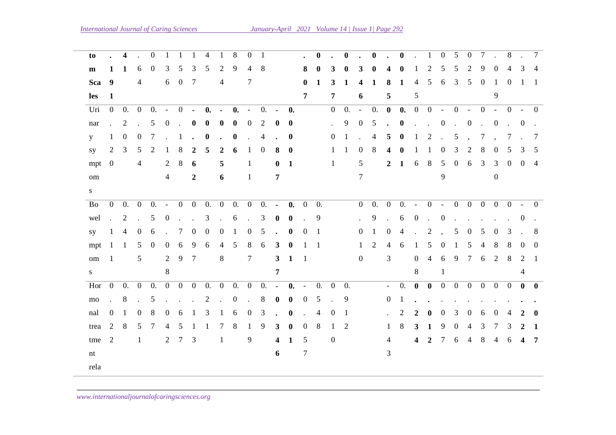| to        |                             | $\overline{\mathbf{4}}$ |                | $\mathbf{0}$    |                             |                 |                                                         | 4                             |                 | 8              | $\overline{0}$       | $\mathbf{1}$   |                         |                |                | $\bf{0}$       |                     | $\bf{0}$     |                | $\mathbf{0}$        |                     | $\bf{0}$           |                |                                                  | $\overline{0}$ | 5               | $\mathbf{0}$                                                                                                                                                                                                                      | 7               |                | 8              |                     | 7              |
|-----------|-----------------------------|-------------------------|----------------|-----------------|-----------------------------|-----------------|---------------------------------------------------------|-------------------------------|-----------------|----------------|----------------------|----------------|-------------------------|----------------|----------------|----------------|---------------------|--------------|----------------|---------------------|---------------------|--------------------|----------------|--------------------------------------------------|----------------|-----------------|-----------------------------------------------------------------------------------------------------------------------------------------------------------------------------------------------------------------------------------|-----------------|----------------|----------------|---------------------|----------------|
| m         | 1                           | 1                       | 6              | $\overline{0}$  | 3                           | 5               | 3                                                       | 5                             | 2               | 9              | 4                    | 8              |                         |                | 8              | $\mathbf{0}$   | 3                   | $\mathbf{0}$ |                |                     |                     |                    |                | $\mathcal{D}_{\mathcal{L}}$                      |                | 5               | 2                                                                                                                                                                                                                                 | 9               | $\theta$       | $\overline{4}$ | 3                   | $\overline{4}$ |
| Sca       | $\overline{\mathbf{9}}$     |                         | $\overline{4}$ |                 |                             | 6 0             | $\overline{7}$                                          |                               | 4               |                | 7                    |                |                         |                | $\mathbf{0}$   | 1              | 3                   | 1            | 4              | $\mathbf 1$         | 8                   | 1                  | $\overline{4}$ | 5                                                | 6              | $\overline{3}$  | $5\overline{)}$                                                                                                                                                                                                                   | $\overline{0}$  | $\overline{1}$ | $\Omega$       |                     | -1             |
| les       | $\mathbf{1}$                |                         |                |                 |                             |                 |                                                         |                               |                 |                |                      |                |                         |                | 7              |                | $\overline{7}$      |              | 6              |                     | 5                   |                    | 5              |                                                  |                |                 |                                                                                                                                                                                                                                   |                 | 9              |                |                     |                |
| Uri       | $\overline{0}$              |                         |                | $0. 0 0. - 0$   |                             |                 |                                                         | $\mathbf{0}$ .                | $\sim$          | $\mathbf{0}$ . | $\sim$               | 0.             | $\blacksquare$          | $\bf{0.}$      |                |                | $\overline{0}$      | 0.           | $\sim$         | 0.                  | $\mathbf{0}$        | $\boldsymbol{0}$ . |                | $0 \t 0 \t - \t 0 \t - \t 0 \t - \t 0 \t - \t 0$ |                |                 |                                                                                                                                                                                                                                   |                 |                |                |                     |                |
| nar       | $\mathcal{L}^{\text{max}}$  | 2                       | $\sim 10^{-1}$ | $5\overline{)}$ | $\overline{0}$              | $\sim 10^{-11}$ | $\bf{0}$                                                | $\bf{0}$                      | $\mathbf{0}$    | $\bf{0}$       | $\overline{0}$       | 2              | $\mathbf{0}$            | $\mathbf{0}$   |                |                | $\mathcal{L}^{\pm}$ | 9            | $\overline{0}$ | 5                   |                     | $\cdot$ 0          |                | $\cdot$ $\cdot$ 0                                |                |                 | $0 \t 0$                                                                                                                                                                                                                          |                 |                | $\cdot$ 0      |                     | $\sim$         |
|           | 1                           | $\overline{0}$          | $\overline{0}$ | $\tau$          |                             | $\therefore$ 1  | $\sim$                                                  | $\bf{0}$                      |                 | $\mathbf{0}$   |                      | 4              |                         | $\mathbf{0}$   |                |                | $\overline{0}$      | 1            |                | 4                   | 5                   | $\bf{0}$           | $\mathbf{1}$   | 2                                                | $\sim$         | $5\overline{)}$ |                                                                                                                                                                                                                                   |                 | 7,             | 7              |                     | -7             |
| y         |                             |                         |                |                 |                             |                 |                                                         |                               |                 |                |                      |                |                         |                |                |                |                     |              |                |                     |                     |                    |                |                                                  |                |                 | $\sim$                                                                                                                                                                                                                            |                 |                |                |                     |                |
| <b>SV</b> |                             | $2 \quad 3$             | 5 <sup>5</sup> | 2               | 1                           | 8               | $\overline{2}$                                          | 5                             | 2               | 6              | -1                   | $\overline{0}$ | 8                       | $\mathbf{0}$   |                |                | 1                   | -1           | $\overline{0}$ | 8                   | 4                   | $\bf{0}$           | 1              | 1                                                | $\overline{0}$ | $\mathfrak{Z}$  | 2                                                                                                                                                                                                                                 | 8               | $\overline{0}$ | 5              | 3                   | 5              |
| mpt       | $\overline{0}$              |                         | $\overline{4}$ |                 | $\overline{2}$              | 8               | 6                                                       |                               | 5               |                | -1                   |                | $\bf{0}$                | -1             |                |                | $\mathbf{1}$        |              | 5              |                     |                     | $2 \quad 1$        |                | 6 8 5 0 6 3                                      |                |                 |                                                                                                                                                                                                                                   |                 |                |                | 3 0 0 4             |                |
| om        |                             |                         |                |                 | $\overline{4}$              |                 | $\boldsymbol{2}$                                        |                               | 6               |                | -1                   |                | 7                       |                |                |                |                     |              | $\tau$         |                     |                     |                    |                |                                                  | 9              |                 |                                                                                                                                                                                                                                   |                 | $\overline{0}$ |                |                     |                |
| S         |                             |                         |                |                 |                             |                 |                                                         |                               |                 |                |                      |                |                         |                |                |                |                     |              |                |                     |                     |                    |                |                                                  |                |                 |                                                                                                                                                                                                                                   |                 |                |                |                     |                |
| Bo        | $\mathbf{0}$                | 0.                      | $\overline{0}$ |                 |                             |                 |                                                         | $0. -0 0 0. 0 0. 0$           |                 |                |                      |                |                         | $0. - 0. 0$    |                | 0.             |                     |              |                | $0\quad 0. \quad 0$ |                     |                    | $0. -$         |                                                  |                |                 |                                                                                                                                                                                                                                   |                 |                |                | $0 - 0 0 0 0 0 - 0$ |                |
| wel       | $\mathcal{L}^{\mathcal{L}}$ | 2                       | $\sim$         | $5\overline{)}$ | $\overline{0}$              |                 |                                                         | $\therefore$ 3 $\therefore$ 6 |                 |                | $\sim$               | 3              | $\mathbf{0}$            | $\mathbf{0}$   |                | 9              |                     |              |                | 9                   | $\sim$              | 6 0                |                | $\cdot$ 0                                        |                |                 | $\mathbf{r}$ . The set of the set of the set of the set of the set of the set of the set of the set of the set of the set of the set of the set of the set of the set of the set of the set of the set of the set of the set of t |                 |                |                | $\overline{0}$      |                |
| sy        | $\mathbf{1}$                | $\overline{4}$          | $\overline{0}$ | 6               | $\mathbb{Z}^{\mathbb{Z}^2}$ | $7\overline{ }$ | $\overline{0}$                                          | $\overline{0}$                | $\overline{0}$  | -1             | $\overline{0}$       | 5              |                         | $\mathbf{0}$   | $\theta$       | $\overline{1}$ |                     |              | $\overline{0}$ | -1                  | $\overline{0}$      | $\overline{4}$     | $\mathbf{r}$   | $\overline{2}$                                   | $\sim$         | $5\overline{)}$ | $\overline{0}$                                                                                                                                                                                                                    | $5\overline{)}$ | $\overline{0}$ | $\overline{3}$ |                     | 8              |
| mpt       | -1                          | $\overline{1}$          | 5              | $\overline{0}$  | $\overline{0}$              | 6               | 9                                                       | 6                             | $\overline{4}$  | 5              | 8                    | 6              | 3                       | $\mathbf{0}$   |                | -1             |                     |              | -1             | 2                   | $\overline{4}$      | 6                  | -1             | 5                                                | $\overline{0}$ | -1              | $5\overline{)}$                                                                                                                                                                                                                   | $\overline{4}$  | 8              | 8              | $\Omega$            | $\Omega$       |
| om        | $\overline{1}$              |                         | 5              |                 | $\overline{2}$              | 9               | $\overline{7}$                                          |                               | 8               |                | $\tau$               |                | $\mathbf{3}$            | -1             | $\overline{1}$ |                |                     |              | $\overline{0}$ |                     | 3                   |                    | $\overline{0}$ | $\overline{4}$                                   | 6              | 9               | $7\phantom{.0}$                                                                                                                                                                                                                   | 6               | 2              | 8              | 2                   | $\overline{1}$ |
| S.        |                             |                         |                |                 | 8                           |                 |                                                         |                               |                 |                |                      |                | 7                       |                |                |                |                     |              |                |                     |                     |                    | 8              |                                                  | -1             |                 |                                                                                                                                                                                                                                   |                 |                |                | 4                   |                |
| Hor       | $\overline{0}$              | 0. 0                    |                | 0.              | $\overline{0}$              |                 |                                                         | $0 \quad 0 \quad 0. \quad 0$  |                 | 0.             | $\overline{0}$       | 0.             | $\blacksquare$          | $\mathbf{0}$ . | $\sim$ $-$     | 0. 0           |                     | 0.           |                |                     | $\omega_{\rm{max}}$ | 0.                 | $\mathbf{0}$   | $\bf{0}$                                         |                |                 | $0 \t0 \t0 \t0 \t0 \t0$                                                                                                                                                                                                           |                 |                |                | $\mathbf{0}$        | $\mathbf{0}$   |
| mo        | $\mathbf{L}$                | 8                       | $\mathbf{L}$   | 5               |                             |                 | $\mathcal{L}^{\text{max}}$ , $\mathcal{L}^{\text{max}}$ | 2.                            |                 | $\overline{0}$ | $\ddot{\phantom{a}}$ | 8              | $\mathbf{0}$            | $\bf{0}$       | $\overline{0}$ | 5 <sup>5</sup> | $\sim 10$           | 9            |                |                     | $\overline{0}$      | -1                 |                |                                                  |                |                 |                                                                                                                                                                                                                                   |                 |                |                |                     |                |
| nal       | $\theta$                    | -1                      | $\overline{0}$ | 8               | $\overline{0}$              | 6               | $\overline{1}$                                          | $\mathfrak{Z}$                | $\mathbf{1}$    | 6              | $\overline{0}$       | 3              |                         | $\mathbf{0}$   |                | $\overline{4}$ | $\overline{0}$      | -1           |                |                     |                     | 2                  | 2              | $\mathbf{0}$                                     | $\overline{0}$ | 3               | $\overline{0}$                                                                                                                                                                                                                    | 6               | $\Omega$       |                |                     | $\mathbf{0}$   |
|           | 2                           |                         | 5              | 7               | $\overline{4}$              | $5\overline{)}$ |                                                         |                               | $7\phantom{.0}$ | 8              |                      | 9              |                         |                |                | 8              | -1                  | 2            |                |                     |                     |                    |                |                                                  | 9              |                 |                                                                                                                                                                                                                                   |                 | $\tau$         |                |                     |                |
| trea      |                             | 8                       |                |                 |                             |                 | 1                                                       | -1                            |                 |                | $\mathbf{1}$         |                | $\mathbf{3}$            | $\bf{0}$       | $\overline{0}$ |                |                     |              |                |                     | $\mathbf{1}$        | 8                  | $\mathbf{3}$   | 1                                                |                | $\overline{0}$  | $\overline{4}$                                                                                                                                                                                                                    | $\overline{3}$  |                | 3              | 2                   | -1             |
| $t$ me 2  |                             |                         | $\mathbf{1}$   |                 | $\overline{2}$              | $7\phantom{.0}$ | 3                                                       |                               | -1              |                | 9                    |                | $\overline{\mathbf{4}}$ | 1              | 5              |                | $\overline{0}$      |              |                |                     | 4                   |                    | $\overline{4}$ | $\mathbf{2}$                                     |                |                 | 7 6 4 8 4                                                                                                                                                                                                                         |                 |                | 6              | 4                   | $\overline{7}$ |
| nt        |                             |                         |                |                 |                             |                 |                                                         |                               |                 |                |                      |                | 6                       |                | 7              |                |                     |              |                |                     | 3                   |                    |                |                                                  |                |                 |                                                                                                                                                                                                                                   |                 |                |                |                     |                |
| rela      |                             |                         |                |                 |                             |                 |                                                         |                               |                 |                |                      |                |                         |                |                |                |                     |              |                |                     |                     |                    |                |                                                  |                |                 |                                                                                                                                                                                                                                   |                 |                |                |                     |                |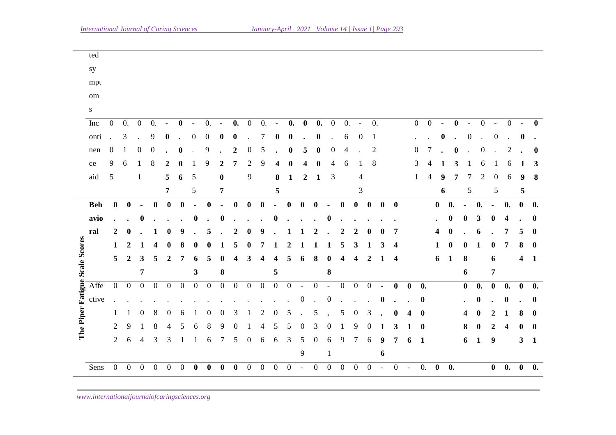| Sens                                   | $\overline{0}$   | $\boldsymbol{0}$ | $\boldsymbol{0}$ | $\boldsymbol{0}$ | $\boldsymbol{0}$ |                  |                  |                  |                  |                  | $\boldsymbol{0}$ | $\boldsymbol{0}$ | $\overline{0}$          | $\boldsymbol{0}$   |                          | $\boldsymbol{0}$ | $\mathbf{0}$             | $\mathbf{0}$     | $\boldsymbol{0}$         | $\boldsymbol{0}$ |                | $\boldsymbol{0}$        |                | $\mathbf{0}$ .   | $\bf{0}$         | $\boldsymbol{0}$ . |                  |                                              | $\bf{0}$                 | $\mathbf{0}$ .     | $\pmb{0}$        | 0.           |  |
|----------------------------------------|------------------|------------------|------------------|------------------|------------------|------------------|------------------|------------------|------------------|------------------|------------------|------------------|-------------------------|--------------------|--------------------------|------------------|--------------------------|------------------|--------------------------|------------------|----------------|-------------------------|----------------|------------------|------------------|--------------------|------------------|----------------------------------------------|--------------------------|--------------------|------------------|--------------|--|
|                                        |                  |                  |                  |                  |                  |                  |                  |                  |                  |                  |                  |                  |                         |                    | $\overline{9}$           |                  | 1                        |                  |                          |                  | 6              |                         |                |                  |                  |                    |                  |                                              |                          |                    |                  |              |  |
|                                        | $\mathbf{2}$     | 6                | 4                | 3                | 3                | 1                | 1                | 6                | 7                | 5                | $\boldsymbol{0}$ | 6                | 6                       | 3                  | $\mathfrak{S}$           | $\boldsymbol{0}$ | 6                        | 9                | 7                        | $\sqrt{6}$       | 9              | 7                       | 6              | 1                |                  |                    | 6                | $\mathbf{1}$                                 | $\boldsymbol{9}$         |                    | $\mathbf{3}$     | $\mathbf{1}$ |  |
|                                        | 2                | 9                |                  | 8                |                  |                  | 6                | 8                | 9                | 0                |                  |                  | 5                       | 5                  | $\mathbf{\Omega}$        | 3                | $\theta$                 |                  | 9                        | $\boldsymbol{0}$ | 1              | 3                       |                | $\bf{0}$         |                  |                    | 8                | 0                                            | 2                        | 4                  | 0                | $\bf{0}$     |  |
|                                        | 1                | 1                | $\theta$         | 8                | $\boldsymbol{0}$ | 6                | -1               | $\mathbf{0}$     | $\boldsymbol{0}$ | 3                | 1                | 2                | 0                       | 5                  |                          | 5                |                          | 5                | $\boldsymbol{0}$         | 3                |                | $\bf{0}$                | 4              | $\bf{0}$         |                  |                    | 4                | $\boldsymbol{0}$                             | $\boldsymbol{2}$         | 1                  | 8                | $\bf{0}$     |  |
| ctive                                  |                  |                  |                  |                  |                  |                  |                  |                  |                  |                  |                  |                  |                         |                    | $\theta$                 |                  | $\theta$                 |                  |                          |                  | $\bf{0}$       |                         |                | $\boldsymbol{0}$ |                  |                    |                  | $\bf{0}$                                     |                          | 0                  |                  | $\bf{0}$     |  |
| The Piper Fatigue Scale Scores<br>Affe | $\mathbf{0}$     | $\overline{0}$   | $\boldsymbol{0}$ | $\boldsymbol{0}$ | $\boldsymbol{0}$ | $\boldsymbol{0}$ | $\boldsymbol{0}$ | $\boldsymbol{0}$ | $\boldsymbol{0}$ | $\boldsymbol{0}$ | $\overline{0}$   | $\boldsymbol{0}$ | $\boldsymbol{0}$        | $\boldsymbol{0}$   | $\overline{\phantom{a}}$ | $\boldsymbol{0}$ | $\overline{\phantom{a}}$ | $\overline{0}$   | $\boldsymbol{0}$         | $\overline{0}$   | $\blacksquare$ | $\bf{0}$                | $\bf{0}$       | 0.               |                  |                    | $\bf{0}$         | $\mathbf{0}$ .                               | $\pmb{0}$                | $\mathbf{0}$ .     | $\bf{0}$         | 0.           |  |
|                                        |                  |                  | 7                |                  |                  |                  | 3                |                  | 8                |                  |                  |                  | 5                       |                    |                          |                  | 8                        |                  |                          |                  |                |                         |                |                  |                  |                    | 6                |                                              | $\overline{7}$           |                    |                  |              |  |
|                                        | 5                | 2                | 3                | 5                | 2                | 7                |                  | 5                |                  | Δ                | 3                |                  | 4                       | 5                  | 6                        | 8                | 0                        | 4                | 4                        | $\overline{2}$   |                | 4                       |                |                  | 6                | $\mathbf{1}$       | 8                |                                              | 6                        |                    | 4                | $\mathbf{1}$ |  |
|                                        | 1                | 2                |                  | Δ                |                  |                  |                  |                  |                  | 5                |                  |                  |                         | 2                  |                          |                  |                          | 5                | 3                        | 1                | 3              | $\overline{\mathbf{4}}$ |                |                  |                  | $\boldsymbol{0}$   |                  | 1                                            | $\bf{0}$                 | 7                  | ${\bf 8}$        | $\bf{0}$     |  |
| ral                                    | 2                |                  |                  |                  |                  | 9                |                  | 5                |                  | 2                |                  |                  |                         |                    |                          |                  |                          | 2                | 2                        |                  |                | 7                       |                |                  |                  |                    |                  | 6                                            |                          | 7                  | 5                | $\bf{0}$     |  |
| avio                                   |                  |                  |                  |                  |                  |                  |                  |                  | 0                |                  |                  |                  |                         |                    |                          |                  |                          |                  |                          |                  |                |                         |                |                  |                  | $\bf{0}$           | 0                | 3                                            | $\boldsymbol{0}$         | 4                  |                  | $\bf{0}$     |  |
| <b>Beh</b>                             | $\boldsymbol{0}$ | $\bf{0}$         |                  | $\boldsymbol{0}$ | $\boldsymbol{0}$ | $\boldsymbol{0}$ |                  | 0                |                  | $\boldsymbol{0}$ | $\mathbf{0}$     | $\bf{0}$         |                         | $\bf{0}$           | $\boldsymbol{0}$         | $\bf{0}$         |                          | $\boldsymbol{0}$ | $\boldsymbol{0}$         | $\boldsymbol{0}$ | $\bf{0}$       | $\boldsymbol{0}$        |                |                  | $\boldsymbol{0}$ | 0.                 |                  | $\boldsymbol{0}$ .                           | $\blacksquare$           | $\boldsymbol{0}$ . | $\boldsymbol{0}$ | 0.           |  |
|                                        |                  |                  |                  |                  | $\overline{7}$   |                  | 5                |                  | $\pmb{7}$        |                  |                  |                  | $\overline{\mathbf{5}}$ |                    |                          |                  |                          |                  | 3                        |                  |                |                         |                |                  |                  | 6                  |                  | $\sqrt{5}$                                   | $\mathfrak s$            |                    | 5                |              |  |
| aid                                    | $\mathfrak{S}$   |                  | 1                |                  | 5                | 6                | 5                |                  | $\bf{0}$         |                  | 9                |                  | 8                       | 1                  | $\boldsymbol{2}$         | 1                | 3                        |                  | 4                        |                  |                |                         |                |                  | 4                | 9                  |                  | 2                                            | $\theta$                 | 6                  | 9                | 8            |  |
| ce                                     | 9                | 6                |                  | 8                | 2                |                  |                  | 9                | 2                | 7                | $\overline{c}$   | 9                |                         |                    |                          | 0                | 4                        | 6                |                          | $8\,$            |                |                         | 3              |                  |                  |                    | 3                | 6                                            |                          | 6                  |                  | 3            |  |
| nen                                    | 0                |                  | 0                | $\boldsymbol{0}$ |                  | 0                |                  | 9                |                  | $\overline{c}$   | 0                | 5                |                         | 0                  | 5                        | $\boldsymbol{0}$ | 0                        | 4                |                          | $\overline{c}$   |                |                         | $\Omega$       |                  |                  |                    | $\bf{0}$         | 0                                            |                          | 2                  |                  | $\bf{0}$     |  |
| onti                                   |                  | 3                |                  | 9                | 0                |                  | 0                | $\theta$         |                  | 0                |                  | 7                | 0                       | $\bf{0}$           |                          | $\boldsymbol{0}$ |                          | 6                | 0                        | $\mathbf{1}$     |                |                         |                |                  |                  | 0                  |                  | $\boldsymbol{0}$                             | $\boldsymbol{0}$         |                    | $\bf{0}$         |              |  |
| Inc                                    | $\boldsymbol{0}$ | 0.               | $\boldsymbol{0}$ | 0.               |                  | $\bf{0}$         | $\overline{a}$   | 0.               | $\blacksquare$   | $\mathbf{0}$ .   | $\mathbf{0}$     | $\overline{0}$ . | $\blacksquare$          | $\boldsymbol{0}$ . | $\bf{0}$                 | $\mathbf{0}$ .   | $\boldsymbol{0}$         | $\overline{0}$ . | $\overline{\phantom{a}}$ | 0.               |                |                         | $\overline{0}$ |                  | $\boldsymbol{0}$ | $\blacksquare$     | $\boldsymbol{0}$ | $\boldsymbol{0}$<br>$\overline{\phantom{a}}$ | $\overline{\phantom{a}}$ | $\mathbf{0}$       |                  | $\mathbf{0}$ |  |
| ${\bf S}$                              |                  |                  |                  |                  |                  |                  |                  |                  |                  |                  |                  |                  |                         |                    |                          |                  |                          |                  |                          |                  |                |                         |                |                  |                  |                    |                  |                                              |                          |                    |                  |              |  |
| $\;$ om $\;$                           |                  |                  |                  |                  |                  |                  |                  |                  |                  |                  |                  |                  |                         |                    |                          |                  |                          |                  |                          |                  |                |                         |                |                  |                  |                    |                  |                                              |                          |                    |                  |              |  |
| mpt                                    |                  |                  |                  |                  |                  |                  |                  |                  |                  |                  |                  |                  |                         |                    |                          |                  |                          |                  |                          |                  |                |                         |                |                  |                  |                    |                  |                                              |                          |                    |                  |              |  |
| sy                                     |                  |                  |                  |                  |                  |                  |                  |                  |                  |                  |                  |                  |                         |                    |                          |                  |                          |                  |                          |                  |                |                         |                |                  |                  |                    |                  |                                              |                          |                    |                  |              |  |
|                                        |                  |                  |                  |                  |                  |                  |                  |                  |                  |                  |                  |                  |                         |                    |                          |                  |                          |                  |                          |                  |                |                         |                |                  |                  |                    |                  |                                              |                          |                    |                  |              |  |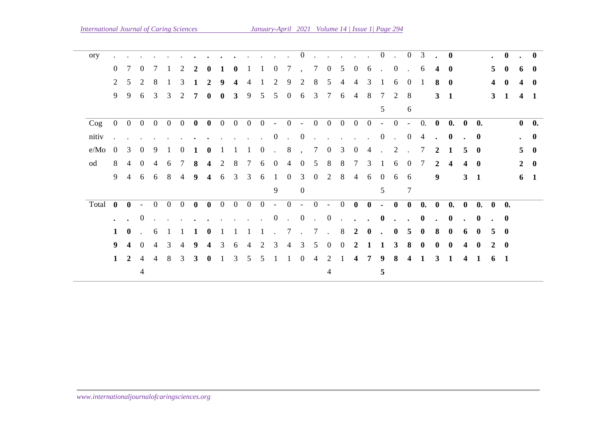| ory     |                |                         |                  |                   |                |                             |              |              |                |                |                     |                |              |                             | $\overline{0}$    | $\sim$             | $\sim$               |                            | $\mathbf{r}$ . The set of $\mathbf{r}$ |                |                 | $0 \quad .$          | $\overline{0}$       | 3                                         | $\sim$               | $\bf{0}$     |                         |                | $\ddot{\phantom{0}}$ | $\bf{0}$     | $\sim$         | $\mathbf{0}$ |
|---------|----------------|-------------------------|------------------|-------------------|----------------|-----------------------------|--------------|--------------|----------------|----------------|---------------------|----------------|--------------|-----------------------------|-------------------|--------------------|----------------------|----------------------------|----------------------------------------|----------------|-----------------|----------------------|----------------------|-------------------------------------------|----------------------|--------------|-------------------------|----------------|----------------------|--------------|----------------|--------------|
|         | $\Omega$       |                         | $\theta$         |                   |                | $\mathcal{D}_{\mathcal{L}}$ | 2            |              |                |                |                     |                | $\theta$     | 7                           |                   | 7                  | $\overline{0}$       | 5                          | $\overline{0}$                         | 6              | $\sim 10^{-11}$ | $\overline{0}$       | $\sim$               | -6                                        | 4                    | $\bf{0}$     |                         |                | 5 <sup>5</sup>       | $\bf{0}$     | 6              | $\bf{0}$     |
|         | 2              | 5                       | 2                | 8                 |                | 3                           |              | 2            | 9              |                |                     |                | 2            | 9                           | 2                 | 8                  | 5                    |                            | 4                                      | 3              |                 | 6                    | $\Omega$             |                                           | 8                    | $\mathbf{0}$ |                         |                | 4                    | $\mathbf{0}$ | 4              | $\mathbf{0}$ |
|         | 9              | 9                       | 6                | 3                 | 3              | 2                           | 7            | 0            | $\mathbf{0}$   | 3              | 9                   | 5              | 5            | $\overline{0}$              | 6                 | $\overline{3}$     | $7\phantom{.0}$      | 6                          | $\overline{4}$                         | 8              | 7               | 2                    | 8                    |                                           |                      | $3 \quad 1$  |                         |                | $\mathbf{3}$         | $\mathbf{1}$ |                | $4 \quad 1$  |
|         |                |                         |                  |                   |                |                             |              |              |                |                |                     |                |              |                             |                   |                    |                      |                            |                                        |                | $\mathcal{F}$   |                      | 6                    |                                           |                      |              |                         |                |                      |              |                |              |
| $\log$  | $\overline{0}$ |                         |                  | $0\quad 0\quad 0$ | $\overline{0}$ | $\overline{0}$              | $\bf{0}$     | $\bf{0}$     | $\overline{0}$ | $\overline{0}$ | $\ddot{\mathbf{0}}$ | $\overline{0}$ |              |                             |                   |                    |                      |                            |                                        |                |                 |                      |                      | $-0$ $-$ 0 0 0 0 0 $-$ 0 $-$ 0. 0 0. 0 0. |                      |              |                         |                |                      |              |                | $0\quad 0.$  |
| nitiv   |                |                         |                  |                   |                |                             |              |              |                |                | $\sim$              | $\sim$         | $\mathbf{0}$ | $\cdot$ 0                   |                   | $\sim$             | $\ddot{\phantom{a}}$ |                            | $\mathbf{r}$ . The set of $\mathbf{r}$ |                | $\overline{0}$  | $\sim 10^7$          | $\overline{0}$       | $\overline{4}$                            | $\ddot{\phantom{a}}$ | $\bf{0}$     |                         | $\cdot$ 0      |                      |              |                | $\cdot$ 0    |
| e/Mo    | $\Omega$       | 3                       | $\theta$         | 9                 |                | $\theta$                    |              |              |                |                |                     | $\Omega$       | $\mathbf{L}$ | 8                           |                   | $7\overline{ }$    | $\bf{0}$             | 3                          | $\Omega$                               | 4              | $\mathcal{L}$   | 2                    |                      | 7                                         | $\mathbf{2}$         |              | 5                       | $\mathbf{0}$   |                      |              | 5 <sub>1</sub> | - 0          |
| od      | 8              | 4                       | $\Omega$         | 4                 | 6              |                             | 8            | 4            | 2              | 8              |                     | 6              | $\theta$     | 4                           | $\Omega$          | 5                  | 8                    | 8                          | 7                                      | 3              |                 | 6                    | $\Omega$             |                                           | $\mathbf{2}$         |              | 4                       | $\mathbf{0}$   |                      |              |                | $2 \quad 0$  |
|         | 9              | $\overline{4}$          | 6                | 6                 | 8              | $\overline{4}$              | 9            | 4            | 6              | $\overline{3}$ | $\mathfrak{Z}$      | 6              | $\mathbf{1}$ | $\bf{0}$                    | $\overline{3}$    | $\overline{0}$     | $\overline{2}$       | 8                          | $\overline{4}$                         | 6              | $\overline{0}$  | 6                    | 6                    |                                           | 9                    |              |                         | $3 \quad 1$    |                      |              |                | $6 \quad 1$  |
|         |                |                         |                  |                   |                |                             |              |              |                |                |                     |                | 9            |                             | $\mathbf{0}$      |                    |                      |                            |                                        |                | 5               |                      | 7                    |                                           |                      |              |                         |                |                      |              |                |              |
| Total 0 |                | $\mathbf{0}$            | $\sim$           | $\overline{0}$    | $\overline{0}$ | $\overline{0}$              | $\bf{0}$     | $\bf{0}$     | $\overline{0}$ | $\overline{0}$ |                     |                |              | $0 \quad 0 \quad - \quad 0$ | $-0$ $-0$ $0$ $0$ |                    |                      |                            |                                        |                |                 | $-$ 0                | $\bf{0}$             |                                           | 0. 0                 |              | 0. 0                    |                | 0. 0 0.              |              |                |              |
|         |                |                         | $\boldsymbol{0}$ |                   |                |                             |              |              |                |                |                     |                | $\bf{0}$     | $\cdot$ 0                   |                   | $\Delta \sim 10^4$ | $\overline{0}$       | $\mathcal{L}^{\text{max}}$ | $\ddot{\phantom{1}}$                   |                | $\bf{0}$        | $\ddot{\phantom{a}}$ | $\ddot{\phantom{1}}$ | $\bf{0}$                                  | $\sim$               | $\mathbf 0$  | $\mathbf{r}$            | $\mathbf{0}$   | $\sim$               | $\bf{0}$     |                |              |
|         | $\mathbf 1$    | $\mathbf{0}$            |                  | 6                 |                |                             |              |              |                |                |                     |                |              | $7\phantom{.0}$             | $\cdot$ 7         |                    | $\sim$               | 8                          | $\overline{2}$                         | $\mathbf{0}$   |                 | $\mathbf{0}$         | 5                    | $\mathbf{0}$                              | 8                    | $\mathbf{0}$ | 6                       | $\mathbf{0}$   | 5                    | $\mathbf{0}$ |                |              |
|         | 9              | $\overline{\mathbf{4}}$ | $\theta$         | 4                 | 3              | 4                           | 9            |              | 3              | 6              |                     |                | 3            | 4                           | 3                 | 5                  | $\theta$             | $\theta$                   |                                        |                |                 | 3                    | 8                    | $\mathbf{0}$                              | 0                    | $\mathbf{0}$ | 4                       | $\mathbf{0}$   | 2                    | $\mathbf{0}$ |                |              |
|         |                | $1\quad 2$              | $\overline{4}$   | $\overline{4}$    | 8              | 3                           | $\mathbf{3}$ | $\mathbf{0}$ |                | 3              | 5                   | 5              |              | 1                           | $\overline{0}$    | $\overline{4}$     | 2                    |                            | $\overline{\mathbf{4}}$                | $\overline{7}$ | 9               | 8                    | $\boldsymbol{4}$     | 1                                         | 3                    | -1           | $\overline{\mathbf{4}}$ | $\blacksquare$ | 6 <sub>1</sub>       |              |                |              |
|         |                |                         | $\overline{4}$   |                   |                |                             |              |              |                |                |                     |                |              |                             |                   |                    | 4                    |                            |                                        |                | 5               |                      |                      |                                           |                      |              |                         |                |                      |              |                |              |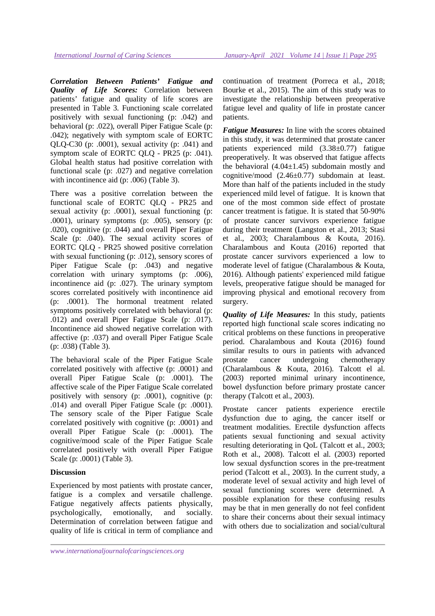*Correlation Between Patients' Fatigue and Quality of Life Scores:* Correlation between patients' fatigue and quality of life scores are presented in Table 3. Functioning scale correlated positively with sexual functioning (p: .042) and behavioral (p: .022), overall Piper Fatigue Scale (p: .042); negatively with symptom scale of EORTC QLQ-C30 (p: .0001), sexual activity (p: .041) and symptom scale of EORTC QLQ - PR25 (p: .041). Global health status had positive correlation with functional scale (p: .027) and negative correlation with incontinence aid (p: .006) (Table 3).

There was a positive correlation between the functional scale of EORTC QLQ - PR25 and sexual activity (p: .0001), sexual functioning (p: .0001), urinary symptoms (p: .005), sensory (p: .020), cognitive (p: .044) and overall Piper Fatigue Scale (p: .040). The sexual activity scores of EORTC QLQ - PR25 showed positive correlation with sexual functioning (p: .012), sensory scores of Piper Fatigue Scale (p: .043) and negative correlation with urinary symptoms (p: .006), incontinence aid (p: .027). The urinary symptom scores correlated positively with incontinence aid (p: .0001). The hormonal treatment related symptoms positively correlated with behavioral (p: .012) and overall Piper Fatigue Scale (p: .017). Incontinence aid showed negative correlation with affective (p: .037) and overall Piper Fatigue Scale (p: .038) (Table 3).

The behavioral scale of the Piper Fatigue Scale correlated positively with affective (p: .0001) and overall Piper Fatigue Scale (p: .0001). The affective scale of the Piper Fatigue Scale correlated positively with sensory (p: .0001), cognitive (p: .014) and overall Piper Fatigue Scale (p: .0001). The sensory scale of the Piper Fatigue Scale correlated positively with cognitive (p: .0001) and overall Piper Fatigue Scale (p: .0001). The cognitive/mood scale of the Piper Fatigue Scale correlated positively with overall Piper Fatigue Scale (p: .0001) (Table 3).

## **Discussion**

Experienced by most patients with prostate cancer, fatigue is a complex and versatile challenge. Fatigue negatively affects patients physically, psychologically, emotionally, and socially. Determination of correlation between fatigue and quality of life is critical in term of compliance and continuation of treatment (Porreca et al., 2018; Bourke et al., 2015). The aim of this study was to investigate the relationship between preoperative fatigue level and quality of life in prostate cancer patients.

*Fatigue Measures:* In line with the scores obtained in this study, it was determined that prostate cancer patients experienced mild (3.38±0.77) fatigue preoperatively. It was observed that fatigue affects the behavioral  $(4.04 \pm 1.45)$  subdomain mostly and cognitive/mood (2.46±0.77) subdomain at least. More than half of the patients included in the study experienced mild level of fatigue. It is known that one of the most common side effect of prostate cancer treatment is fatigue. It is stated that 50-90% of prostate cancer survivors experience fatigue during their treatment (Langston et al., 2013; Stasi et al., 2003; Charalambous & Kouta, 2016). Charalambous and Kouta (2016) reported that prostate cancer survivors experienced a low to moderate level of fatigue (Charalambous & Kouta, 2016). Although patients' experienced mild fatigue levels, preoperative fatigue should be managed for improving physical and emotional recovery from surgery.

*Quality of Life Measures:* In this study, patients reported high functional scale scores indicating no critical problems on these functions in preoperative period. Charalambous and Kouta (2016) found similar results to ours in patients with advanced prostate cancer undergoing chemotherapy (Charalambous & Kouta, 2016). Talcott el al. (2003) reported minimal urinary incontinence, bowel dysfunction before primary prostate cancer therapy (Talcott et al., 2003).

Prostate cancer patients experience erectile dysfunction due to aging, the cancer itself or treatment modalities. Erectile dysfunction affects patients sexual functioning and sexual activity resulting deteriorating in QoL (Talcott et al., 2003; Roth et al., 2008). Talcott el al. (2003) reported low sexual dysfunction scores in the pre-treatment period (Talcott et al., 2003). In the current study, a moderate level of sexual activity and high level of sexual functioning scores were determined. A possible explanation for these confusing results may be that in men generally do not feel confident to share their concerns about their sexual intimacy with others due to socialization and social/cultural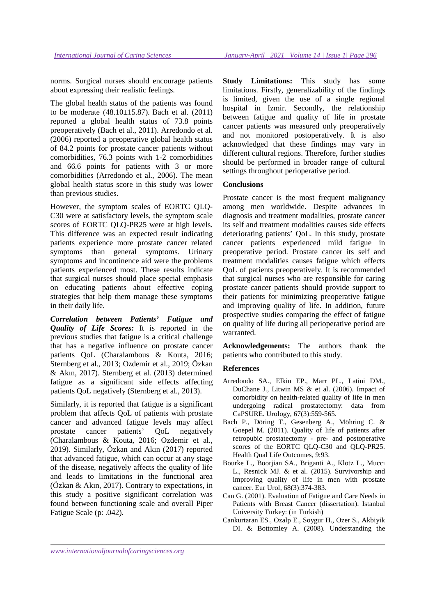norms. Surgical nurses should encourage patients about expressing their realistic feelings.

The global health status of the patients was found to be moderate  $(48.10 \pm 15.87)$ . Bach et al.  $(2011)$ reported a global health status of 73.8 points preoperatively (Bach et al., 2011). Arredondo et al. (2006) reported a preoperative global health status of 84.2 points for prostate cancer patients without comorbidities, 76.3 points with 1-2 comorbidities and 66.6 points for patients with 3 or more comorbidities (Arredondo et al., 2006). The mean global health status score in this study was lower than previous studies.

However, the symptom scales of EORTC QLQ-C30 were at satisfactory levels, the symptom scale scores of EORTC QLQ-PR25 were at high levels. This difference was an expected result indicating patients experience more prostate cancer related symptoms than general symptoms. Urinary symptoms and incontinence aid were the problems patients experienced most. These results indicate that surgical nurses should place special emphasis on educating patients about effective coping strategies that help them manage these symptoms in their daily life.

*Correlation between Patients' Fatigue and Quality of Life Scores:* It is reported in the previous studies that fatigue is a critical challenge that has a negative influence on prostate cancer patients QoL (Charalambous & Kouta, 2016; Sternberg et al., 2013; Ozdemir et al., 2019; Özkan & Akın, 2017). Sternberg et al. (2013) determined fatigue as a significant side effects affecting patients QoL negatively (Sternberg et al., 2013).

Similarly, it is reported that fatigue is a significant problem that affects QoL of patients with prostate cancer and advanced fatigue levels may affect prostate cancer patients' QoL negatively (Charalambous & Kouta, 2016; Ozdemir et al., 2019). Similarly, Özkan and Akın (2017) reported that advanced fatigue, which can occur at any stage of the disease, negatively affects the quality of life and leads to limitations in the functional area (Özkan & Akın, 2017). Contrary to expectations, in this study a positive significant correlation was found between functioning scale and overall Piper Fatigue Scale (p: .042).

**Study Limitations:** This study has some limitations. Firstly, generalizability of the findings is limited, given the use of a single regional hospital in Izmir. Secondly, the relationship between fatigue and quality of life in prostate cancer patients was measured only preoperatively and not monitored postoperatively. It is also acknowledged that these findings may vary in different cultural regions. Therefore, further studies should be performed in broader range of cultural settings throughout perioperative period.

#### **Conclusions**

Prostate cancer is the most frequent malignancy among men worldwide. Despite advances in diagnosis and treatment modalities, prostate cancer its self and treatment modalities causes side effects deteriorating patients' QoL. In this study, prostate cancer patients experienced mild fatigue in preoperative period. Prostate cancer its self and treatment modalities causes fatigue which effects QoL of patients preoperatively. It is recommended that surgical nurses who are responsible for caring prostate cancer patients should provide support to their patients for minimizing preoperative fatigue and improving quality of life. In addition, future prospective studies comparing the effect of fatigue on quality of life during all perioperative period are warranted.

**Acknowledgements:** The authors thank the patients who contributed to this study.

#### **References**

- Arredondo SA., Elkin EP., Marr PL., Latini DM., DuChane J., Litwin MS & et al. (2006). Impact of comorbidity on health-related quality of life in men undergoing radical prostatectomy: data from CaPSURE. Urology, 67(3):559-565.
- Bach P., Döring T., Gesenberg A., Möhring C. & Goepel M. (2011). Quality of life of patients after retropubic prostatectomy - pre- and postoperative scores of the EORTC QLQ-C30 and QLQ-PR25. Health Qual Life Outcomes, 9:93.
- Bourke L., Boorjian SA., Briganti A., Klotz L., Mucci L., Resnick MJ. & et al. (2015). Survivorship and improving quality of life in men with prostate cancer. Eur Urol, 68(3):374-383.
- Can G. (2001). Evaluation of Fatigue and Care Needs in Patients with Breast Cancer (dissertation). Istanbul University Turkey: (in Turkish)
- Cankurtaran ES., Ozalp E., Soygur H., Ozer S., Akbiyik DI. & Bottomley A. (2008). Understanding the